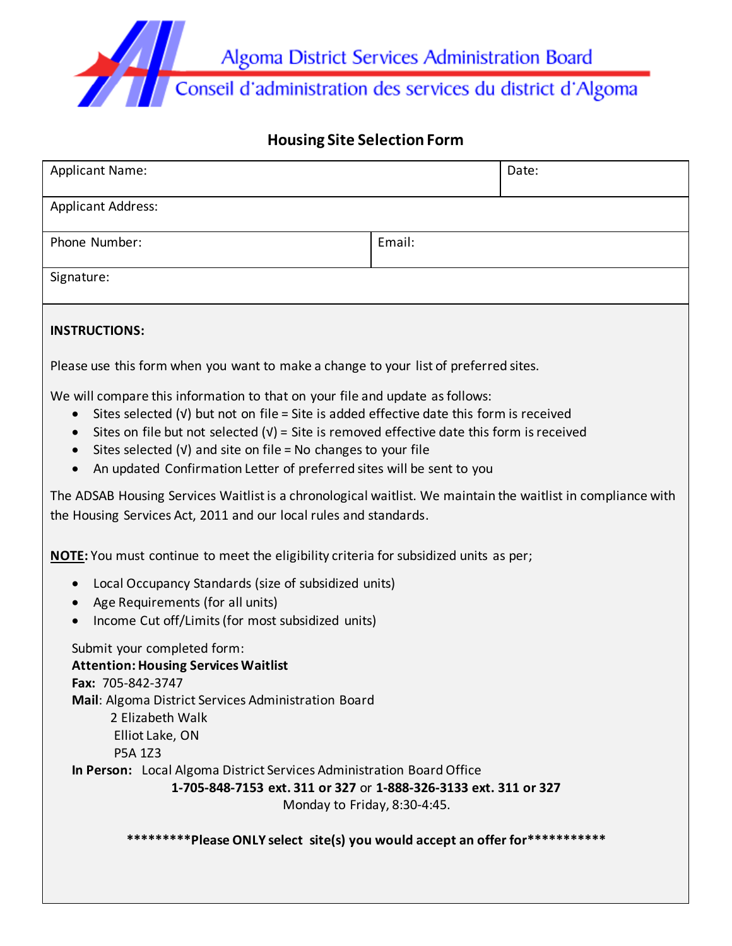

# **Housing Site Selection Form**

| <b>Applicant Name:</b>                                                                                                                                                                                                                                                                                                                                                                                               | Date:  |  |  |  |  |  |
|----------------------------------------------------------------------------------------------------------------------------------------------------------------------------------------------------------------------------------------------------------------------------------------------------------------------------------------------------------------------------------------------------------------------|--------|--|--|--|--|--|
| <b>Applicant Address:</b>                                                                                                                                                                                                                                                                                                                                                                                            |        |  |  |  |  |  |
| Phone Number:                                                                                                                                                                                                                                                                                                                                                                                                        | Email: |  |  |  |  |  |
| Signature:                                                                                                                                                                                                                                                                                                                                                                                                           |        |  |  |  |  |  |
| <b>INSTRUCTIONS:</b>                                                                                                                                                                                                                                                                                                                                                                                                 |        |  |  |  |  |  |
| Please use this form when you want to make a change to your list of preferred sites.                                                                                                                                                                                                                                                                                                                                 |        |  |  |  |  |  |
| We will compare this information to that on your file and update as follows:<br>Sites selected $(V)$ but not on file = Site is added effective date this form is received<br>Sites on file but not selected $(v)$ = Site is removed effective date this form is received<br>Sites selected $(v)$ and site on file = No changes to your file<br>An updated Confirmation Letter of preferred sites will be sent to you |        |  |  |  |  |  |
| The ADSAB Housing Services Waitlist is a chronological waitlist. We maintain the waitlist in compliance with<br>the Housing Services Act, 2011 and our local rules and standards.                                                                                                                                                                                                                                    |        |  |  |  |  |  |
| NOTE: You must continue to meet the eligibility criteria for subsidized units as per;                                                                                                                                                                                                                                                                                                                                |        |  |  |  |  |  |
| Local Occupancy Standards (size of subsidized units)<br>Age Requirements (for all units)<br>Income Cut off/Limits (for most subsidized units)                                                                                                                                                                                                                                                                        |        |  |  |  |  |  |
| Submit your completed form:<br><b>Attention: Housing Services Waitlist</b><br>Fax: 705-842-3747<br>Mail: Algoma District Services Administration Board<br>2 Elizabeth Walk<br>Elliot Lake, ON<br>P5A 1Z3<br>In Person: Local Algoma District Services Administration Board Office<br>1-705-848-7153 ext. 311 or 327 or 1-888-326-3133 ext. 311 or 327                                                                |        |  |  |  |  |  |
| Monday to Friday, 8:30-4:45.                                                                                                                                                                                                                                                                                                                                                                                         |        |  |  |  |  |  |
| **********Please ONLY select site(s) you would accept an offer for***********                                                                                                                                                                                                                                                                                                                                        |        |  |  |  |  |  |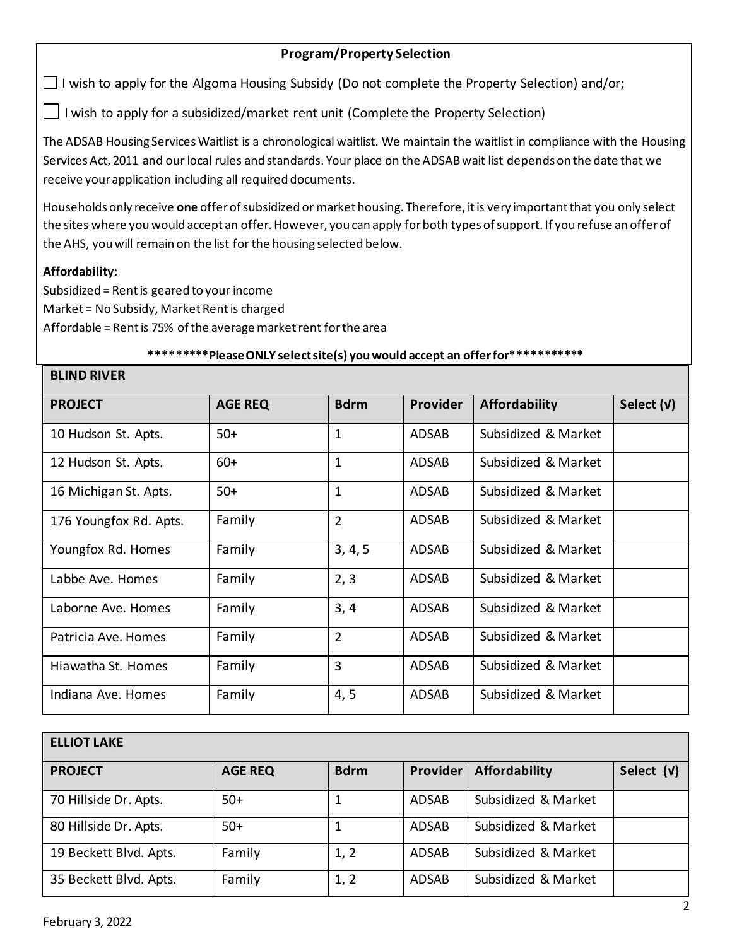## **Program/Property Selection**

 $\Box$  I wish to apply for the Algoma Housing Subsidy (Do not complete the Property Selection) and/or;

I wish to apply for a subsidized/market rent unit (Complete the Property Selection)

The ADSAB Housing Services Waitlist is a chronological waitlist. We maintain the waitlist in compliance with the Housing Services Act, 2011 and our local rules and standards. Your place on the ADSAB wait list depends on the date that we receive your application including all required documents.

Households only receive **one** offer of subsidized or market housing. Therefore, it is very important that you only select the sites where you would accept an offer. However, you can apply for both types of support. If you refuse an offer of the AHS, you will remain on the list for the housing selected below.

### **Affordability:**

Subsidized = Rent is geared to your income Market = No Subsidy, Market Rent is charged Affordable = Rent is 75% of the average market rent for the area

### **\*\*\*\*\*\*\*\*\*Please ONLY select site(s) you would accept an offer for\*\*\*\*\*\*\*\*\*\*\***

#### **BLIND RIVER**

| <b>PROJECT</b>         | <b>AGE REQ</b> | <b>Bdrm</b>    | <b>Provider</b> | <b>Affordability</b> | Select (v) |
|------------------------|----------------|----------------|-----------------|----------------------|------------|
| 10 Hudson St. Apts.    | $50+$          | 1              | <b>ADSAB</b>    | Subsidized & Market  |            |
| 12 Hudson St. Apts.    | $60+$          | 1              | <b>ADSAB</b>    | Subsidized & Market  |            |
| 16 Michigan St. Apts.  | $50+$          | $\mathbf{1}$   | <b>ADSAB</b>    | Subsidized & Market  |            |
| 176 Youngfox Rd. Apts. | Family         | $\overline{2}$ | <b>ADSAB</b>    | Subsidized & Market  |            |
| Youngfox Rd. Homes     | Family         | 3, 4, 5        | <b>ADSAB</b>    | Subsidized & Market  |            |
| Labbe Ave, Homes       | Family         | 2, 3           | <b>ADSAB</b>    | Subsidized & Market  |            |
| Laborne Ave. Homes     | Family         | 3, 4           | <b>ADSAB</b>    | Subsidized & Market  |            |
| Patricia Ave. Homes    | Family         | $\overline{2}$ | <b>ADSAB</b>    | Subsidized & Market  |            |
| Hiawatha St. Homes     | Family         | 3              | <b>ADSAB</b>    | Subsidized & Market  |            |
| Indiana Ave. Homes     | Family         | 4, 5           | <b>ADSAB</b>    | Subsidized & Market  |            |

| <b>ELLIOT LAKE</b>     |                |             |              |                      |            |  |  |
|------------------------|----------------|-------------|--------------|----------------------|------------|--|--|
| <b>PROJECT</b>         | <b>AGE REQ</b> | <b>Bdrm</b> | Provider     | <b>Affordability</b> | Select (v) |  |  |
| 70 Hillside Dr. Apts.  | $50+$          | 1           | <b>ADSAB</b> | Subsidized & Market  |            |  |  |
| 80 Hillside Dr. Apts.  | $50+$          | 1           | <b>ADSAB</b> | Subsidized & Market  |            |  |  |
| 19 Beckett Blvd. Apts. | Family         | 1, 2        | <b>ADSAB</b> | Subsidized & Market  |            |  |  |
| 35 Beckett Blvd. Apts. | Family         | 1, 2        | <b>ADSAB</b> | Subsidized & Market  |            |  |  |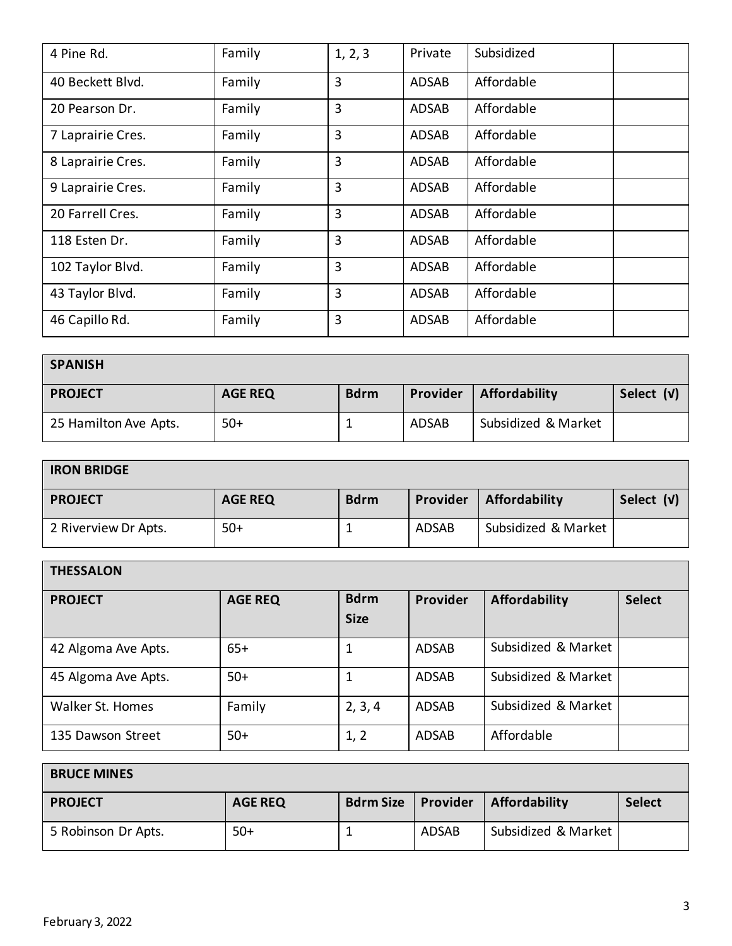| 4 Pine Rd.        | Family | 1, 2, 3 | Private      | Subsidized |
|-------------------|--------|---------|--------------|------------|
| 40 Beckett Blvd.  | Family | 3       | <b>ADSAB</b> | Affordable |
| 20 Pearson Dr.    | Family | 3       | ADSAB        | Affordable |
| 7 Laprairie Cres. | Family | 3       | <b>ADSAB</b> | Affordable |
| 8 Laprairie Cres. | Family | 3       | <b>ADSAB</b> | Affordable |
| 9 Laprairie Cres. | Family | 3       | <b>ADSAB</b> | Affordable |
| 20 Farrell Cres.  | Family | 3       | <b>ADSAB</b> | Affordable |
| 118 Esten Dr.     | Family | 3       | <b>ADSAB</b> | Affordable |
| 102 Taylor Blvd.  | Family | 3       | <b>ADSAB</b> | Affordable |
| 43 Taylor Blvd.   | Family | 3       | <b>ADSAB</b> | Affordable |
| 46 Capillo Rd.    | Family | 3       | <b>ADSAB</b> | Affordable |

| <b>SPANISH</b>        |                |             |              |                     |            |  |
|-----------------------|----------------|-------------|--------------|---------------------|------------|--|
| <b>PROJECT</b>        | <b>AGE REQ</b> | <b>Bdrm</b> | Provider     | Affordability       | Select (v) |  |
| 25 Hamilton Ave Apts. | $50+$          |             | <b>ADSAB</b> | Subsidized & Market |            |  |

| <b>IRON BRIDGE</b>   |                |             |          |                     |            |  |
|----------------------|----------------|-------------|----------|---------------------|------------|--|
| <b>PROJECT</b>       | <b>AGE REQ</b> | <b>Bdrm</b> | Provider | Affordability       | Select (v) |  |
| 2 Riverview Dr Apts. | $50+$          |             | ADSAB    | Subsidized & Market |            |  |

| <b>THESSALON</b>    |                |                            |              |                      |               |
|---------------------|----------------|----------------------------|--------------|----------------------|---------------|
| <b>PROJECT</b>      | <b>AGE REQ</b> | <b>Bdrm</b><br><b>Size</b> | Provider     | <b>Affordability</b> | <b>Select</b> |
| 42 Algoma Ave Apts. | $65+$          | 1                          | <b>ADSAB</b> | Subsidized & Market  |               |
| 45 Algoma Ave Apts. | $50+$          | 1                          | <b>ADSAB</b> | Subsidized & Market  |               |
| Walker St. Homes    | Family         | 2, 3, 4                    | <b>ADSAB</b> | Subsidized & Market  |               |
| 135 Dawson Street   | $50+$          | 1, 2                       | <b>ADSAB</b> | Affordable           |               |

| <b>BRUCE MINES</b>  |                |                  |          |                     |               |  |
|---------------------|----------------|------------------|----------|---------------------|---------------|--|
| <b>PROJECT</b>      | <b>AGE REQ</b> | <b>Bdrm Size</b> | Provider | Affordability       | <b>Select</b> |  |
| 5 Robinson Dr Apts. | $50+$          |                  | ADSAB    | Subsidized & Market |               |  |

Г

 $\overline{\phantom{a}}$